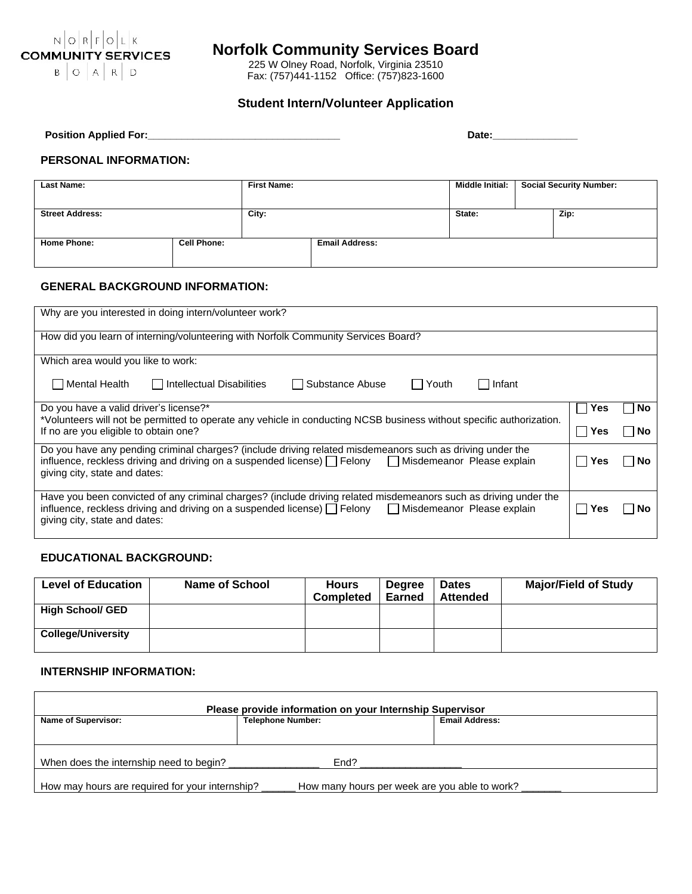

# **Norfolk Community Services Board**

225 W Olney Road, Norfolk, Virginia 23510 Fax: (757)441-1152 Office: (757)823-1600

# **Student Intern/Volunteer Application**

| <b>Position Applied For:</b> | <b>Date</b> |
|------------------------------|-------------|
|------------------------------|-------------|

#### **PERSONAL INFORMATION:**

| <b>Last Name:</b>      |                    | <b>First Name:</b> |                       | <b>Middle Initial:</b> | <b>Social Security Number:</b> |
|------------------------|--------------------|--------------------|-----------------------|------------------------|--------------------------------|
| <b>Street Address:</b> |                    | City:              |                       | State:                 | Zip:                           |
| <b>Home Phone:</b>     | <b>Cell Phone:</b> |                    | <b>Email Address:</b> |                        |                                |

## **GENERAL BACKGROUND INFORMATION:**

| Why are you interested in doing intern/volunteer work?                                                                                                                                                                                                                      |     |    |  |  |  |  |
|-----------------------------------------------------------------------------------------------------------------------------------------------------------------------------------------------------------------------------------------------------------------------------|-----|----|--|--|--|--|
| How did you learn of interning/volunteering with Norfolk Community Services Board?                                                                                                                                                                                          |     |    |  |  |  |  |
| Which area would you like to work:                                                                                                                                                                                                                                          |     |    |  |  |  |  |
| Mental Health<br>  Intellectual Disabilities<br>Substance Abuse<br>l lYouth<br>l Infant                                                                                                                                                                                     |     |    |  |  |  |  |
| Do you have a valid driver's license?*<br>Yes<br>No.<br>*Volunteers will not be permitted to operate any vehicle in conducting NCSB business without specific authorization.                                                                                                |     |    |  |  |  |  |
| If no are you eligible to obtain one?<br>Yes<br>No.                                                                                                                                                                                                                         |     |    |  |  |  |  |
| Do you have any pending criminal charges? (include driving related misdemeanors such as driving under the<br>influence, reckless driving and driving on a suspended license) $\Box$ Felony $\Box$ Misdemeanor Please explain<br>No.<br>Yes<br>giving city, state and dates: |     |    |  |  |  |  |
| Have you been convicted of any criminal charges? (include driving related misdemeanors such as driving under the<br>influence, reckless driving and driving on a suspended license) T Felony Misdemeanor Please explain<br>giving city, state and dates:                    | Yes | Nο |  |  |  |  |

## **EDUCATIONAL BACKGROUND:**

| <b>Level of Education</b> | <b>Name of School</b> | <b>Hours</b><br><b>Completed</b> | <b>Degree</b><br>Earned | <b>Dates</b><br><b>Attended</b> | <b>Major/Field of Study</b> |
|---------------------------|-----------------------|----------------------------------|-------------------------|---------------------------------|-----------------------------|
| <b>High School/ GED</b>   |                       |                                  |                         |                                 |                             |
| <b>College/University</b> |                       |                                  |                         |                                 |                             |

## **INTERNSHIP INFORMATION:**

Г

| Please provide information on your Internship Supervisor |                                               |                       |  |  |  |  |  |
|----------------------------------------------------------|-----------------------------------------------|-----------------------|--|--|--|--|--|
| <b>Name of Supervisor:</b>                               | <b>Telephone Number:</b>                      | <b>Email Address:</b> |  |  |  |  |  |
|                                                          |                                               |                       |  |  |  |  |  |
|                                                          |                                               |                       |  |  |  |  |  |
| When does the internship need to begin?<br>End?          |                                               |                       |  |  |  |  |  |
|                                                          |                                               |                       |  |  |  |  |  |
| How may hours are required for your internship?          | How many hours per week are you able to work? |                       |  |  |  |  |  |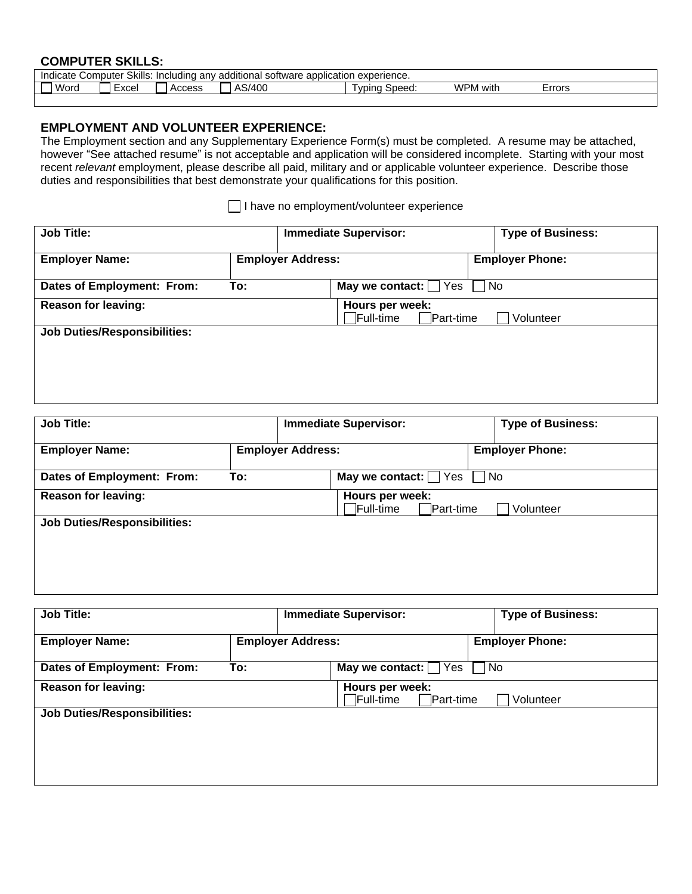# **COMPUTER SKILLS:**

| . .<br>Skills.<br>application<br>uputer.<br>experience.<br>rtware<br>anv<br>ditional<br>indicate<br>Including<br>$\sim$ $\sim$ $\sim$<br>∪om<br>ado<br>-801 |                     |                 |                |                  |              |                  |
|-------------------------------------------------------------------------------------------------------------------------------------------------------------|---------------------|-----------------|----------------|------------------|--------------|------------------|
| Word                                                                                                                                                        | <b>VCQI</b><br>וסט. | 00000<br>ACCES. | 3/400<br>יים ה | Speed:<br>∟vpin⊂ | 'VPM<br>with | $rr$ nro<br>טו ש |
|                                                                                                                                                             |                     |                 |                |                  |              |                  |

# **EMPLOYMENT AND VOLUNTEER EXPERIENCE:**

The Employment section and any Supplementary Experience Form(s) must be completed. A resume may be attached, however "See attached resume" is not acceptable and application will be considered incomplete. Starting with your most recent *relevant* employment, please describe all paid, military and or applicable volunteer experience. Describe those duties and responsibilities that best demonstrate your qualifications for this position.

I have no employment/volunteer experience

| <b>Job Title:</b>                   |                          | <b>Immediate Supervisor:</b>                             |           | <b>Type of Business:</b> |
|-------------------------------------|--------------------------|----------------------------------------------------------|-----------|--------------------------|
| <b>Employer Name:</b>               | <b>Employer Address:</b> |                                                          |           | <b>Employer Phone:</b>   |
| Dates of Employment: From:          | To:                      | May we contact: $\Box$ Yes                               | $\Box$ No |                          |
| <b>Reason for leaving:</b>          |                          | Hours per week:<br>Full-time <sup>[1]</sup><br>Part-time |           | Volunteer                |
| <b>Job Duties/Responsibilities:</b> |                          |                                                          |           |                          |

| <b>Job Title:</b>                   |                                                                |                          | <b>Immediate Supervisor:</b> |    | <b>Type of Business:</b> |
|-------------------------------------|----------------------------------------------------------------|--------------------------|------------------------------|----|--------------------------|
| <b>Employer Name:</b>               |                                                                | <b>Employer Address:</b> |                              |    | <b>Employer Phone:</b>   |
| Dates of Employment: From:          | To:                                                            |                          | May we contact: $\Box$ Yes   | No |                          |
| <b>Reason for leaving:</b>          | Hours per week:<br><b>TFull-time</b><br>Part-time<br>Volunteer |                          |                              |    |                          |
| <b>Job Duties/Responsibilities:</b> |                                                                |                          |                              |    |                          |
|                                     |                                                                |                          |                              |    |                          |
|                                     |                                                                |                          |                              |    |                          |
|                                     |                                                                |                          |                              |    |                          |

| <b>Job Title:</b>                   |                          | <b>Immediate Supervisor:</b>                           | <b>Type of Business:</b>        |
|-------------------------------------|--------------------------|--------------------------------------------------------|---------------------------------|
| <b>Employer Name:</b>               | <b>Employer Address:</b> |                                                        | <b>Employer Phone:</b>          |
| Dates of Employment: From:          | To:                      | May we contact: $\Box$ Yes                             | No.<br>$\overline{\phantom{a}}$ |
| <b>Reason for leaving:</b>          |                          | Hours per week:<br>Full-time <sup>[</sup><br>Part-time | Volunteer                       |
| <b>Job Duties/Responsibilities:</b> |                          |                                                        |                                 |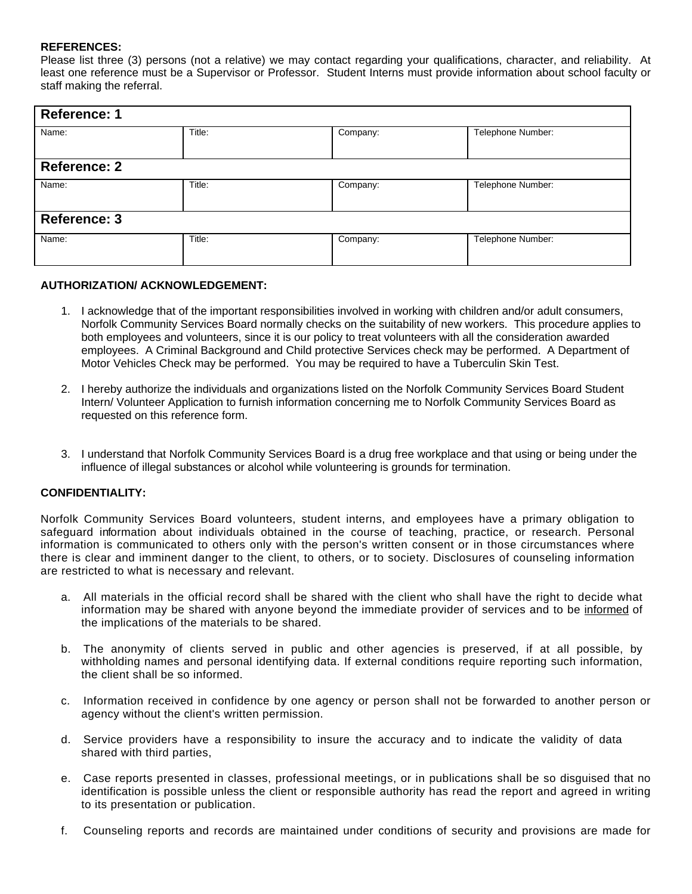#### **REFERENCES:**

Please list three (3) persons (not a relative) we may contact regarding your qualifications, character, and reliability. At least one reference must be a Supervisor or Professor. Student Interns must provide information about school faculty or staff making the referral.

| <b>Reference: 1</b> |        |          |                   |  |  |  |
|---------------------|--------|----------|-------------------|--|--|--|
| Name:               | Title: | Company: | Telephone Number: |  |  |  |
| <b>Reference: 2</b> |        |          |                   |  |  |  |
| Name:               | Title: | Company: | Telephone Number: |  |  |  |
| <b>Reference: 3</b> |        |          |                   |  |  |  |
| Name:               | Title: | Company: | Telephone Number: |  |  |  |

#### **AUTHORIZATION/ ACKNOWLEDGEMENT:**

- 1. I acknowledge that of the important responsibilities involved in working with children and/or adult consumers, Norfolk Community Services Board normally checks on the suitability of new workers. This procedure applies to both employees and volunteers, since it is our policy to treat volunteers with all the consideration awarded employees. A Criminal Background and Child protective Services check may be performed. A Department of Motor Vehicles Check may be performed. You may be required to have a Tuberculin Skin Test.
- 2. I hereby authorize the individuals and organizations listed on the Norfolk Community Services Board Student Intern/ Volunteer Application to furnish information concerning me to Norfolk Community Services Board as requested on this reference form.
- 3. I understand that Norfolk Community Services Board is a drug free workplace and that using or being under the influence of illegal substances or alcohol while volunteering is grounds for termination.

## **CONFIDENTIALITY:**

Norfolk Community Services Board volunteers, student interns, and employees have a primary obligation to safeguard information about individuals obtained in the course of teaching, practice, or research. Personal information is communicated to others only with the person's written consent or in those circumstances where there is clear and imminent danger to the client, to others, or to society. Disclosures of counseling information are restricted to what is necessary and relevant.

- a. All materials in the official record shall be shared with the client who shall have the right to decide what information may be shared with anyone beyond the immediate provider of services and to be informed of the implications of the materials to be shared.
- b. The anonymity of clients served in public and other agencies is preserved, if at all possible, by withholding names and personal identifying data. If external conditions require reporting such information, the client shall be so informed.
- c. Information received in confidence by one agency or person shall not be forwarded to another person or agency without the client's written permission.
- d. Service providers have a responsibility to insure the accuracy and to indicate the validity of data shared with third parties,
- e. Case reports presented in classes, professional meetings, or in publications shall be so disguised that no identification is possible unless the client or responsible authority has read the report and agreed in writing to its presentation or publication.
- f. Counseling reports and records are maintained under conditions of security and provisions are made for